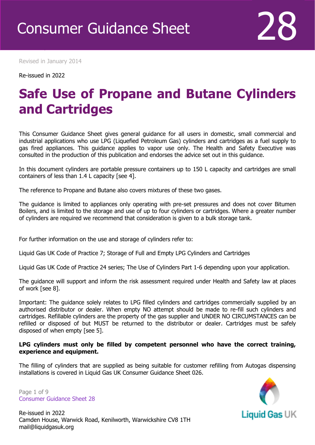Revised in January 2014

Re-issued in 2022

Revised April 2016

### **Safe Use of Propane and Butane Cylinders and Cartridges**

This Consumer Guidance Sheet gives general guidance for all users in domestic, small commercial and industrial applications who use LPG (Liquefied Petroleum Gas) cylinders and cartridges as a fuel supply to gas fired appliances. This guidance applies to vapor use only. The Health and Safety Executive was consulted in the production of this publication and endorses the advice set out in this guidance.

In this document cylinders are portable pressure containers up to 150 L capacity and cartridges are small containers of less than 1.4 L capacity [see 4].

The reference to Propane and Butane also covers mixtures of these two gases.

The guidance is limited to appliances only operating with pre-set pressures and does not cover Bitumen Boilers, and is limited to the storage and use of up to four cylinders or cartridges. Where a greater number of cylinders are required we recommend that consideration is given to a bulk storage tank.

For further information on the use and storage of cylinders refer to:

Liquid Gas UK Code of Practice 7; Storage of Full and Empty LPG Cylinders and Cartridges

Liquid Gas UK Code of Practice 24 series; The Use of Cylinders Part 1-6 depending upon your application.

The guidance will support and inform the risk assessment required under Health and Safety law at places of work [see 8].

Important: The guidance solely relates to LPG filled cylinders and cartridges commercially supplied by an authorised distributor or dealer. When empty NO attempt should be made to re-fill such cylinders and cartridges. Refillable cylinders are the property of the gas supplier and UNDER NO CIRCUMSTANCES can be refilled or disposed of but MUST be returned to the distributor or dealer. Cartridges must be safely disposed of when empty [see 5].

#### **LPG cylinders must only be filled by competent personnel who have the correct training, experience and equipment.**

The filling of cylinders that are supplied as being suitable for customer refilling from Autogas dispensing installations is covered in Liquid Gas UK Consumer Guidance Sheet 026.

Page 1 of 9 Consumer Guidance Sheet 28



Re-issued in 2022 Camden House, Warwick Road, Kenilworth, Warwickshire CV8 1TH mail@liquidgasuk.org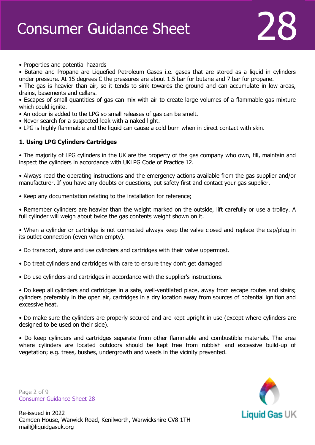• Properties and potential hazards

• Butane and Propane are Liquefied Petroleum Gases i.e. gases that are stored as a liquid in cylinders under pressure. At 15 degrees C the pressures are about 1.5 bar for butane and 7 bar for propane.

• The gas is heavier than air, so it tends to sink towards the ground and can accumulate in low areas, drains, basements and cellars.

• Escapes of small quantities of gas can mix with air to create large volumes of a flammable gas mixture which could ignite.

- An odour is added to the LPG so small releases of gas can be smelt.
- Never search for a suspected leak with a naked light.
- LPG is highly flammable and the liquid can cause a cold burn when in direct contact with skin.

#### **1. Using LPG Cylinders Cartridges**

• The majority of LPG cylinders in the UK are the property of the gas company who own, fill, maintain and inspect the cylinders in accordance with UKLPG Code of Practice 12.

• Always read the operating instructions and the emergency actions available from the gas supplier and/or manufacturer. If you have any doubts or questions, put safety first and contact your gas supplier.

• Keep any documentation relating to the installation for reference;

• Remember cylinders are heavier than the weight marked on the outside, lift carefully or use a trolley. A full cylinder will weigh about twice the gas contents weight shown on it.

• When a cylinder or cartridge is not connected always keep the valve closed and replace the cap/plug in its outlet connection (even when empty).

• Do transport, store and use cylinders and cartridges with their valve uppermost.

- Do treat cylinders and cartridges with care to ensure they don't get damaged
- Do use cylinders and cartridges in accordance with the supplier's instructions.

• Do keep all cylinders and cartridges in a safe, well-ventilated place, away from escape routes and stairs; cylinders preferably in the open air, cartridges in a dry location away from sources of potential ignition and excessive heat.

• Do make sure the cylinders are properly secured and are kept upright in use (except where cylinders are designed to be used on their side).

• Do keep cylinders and cartridges separate from other flammable and combustible materials. The area where cylinders are located outdoors should be kept free from rubbish and excessive build-up of vegetation; e.g. trees, bushes, undergrowth and weeds in the vicinity prevented.

Page 2 of 9 Consumer Guidance Sheet 28

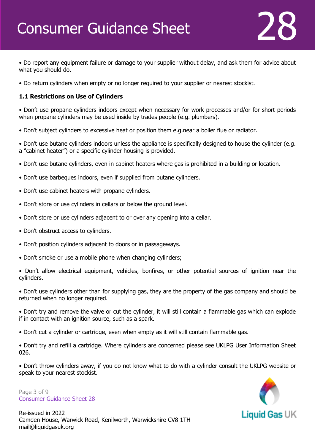• Do report any equipment failure or damage to your supplier without delay, and ask them for advice about what you should do.

• Do return cylinders when empty or no longer required to your supplier or nearest stockist.

#### **1.1 Restrictions on Use of Cylinders**

• Don't use propane cylinders indoors except when necessary for work processes and/or for short periods when propane cylinders may be used inside by trades people (e.g. plumbers).

• Don't subject cylinders to excessive heat or position them e.g.near a boiler flue or radiator.

• Don't use butane cylinders indoors unless the appliance is specifically designed to house the cylinder (e.g. a "cabinet heater") or a specific cylinder housing is provided.

- Don't use butane cylinders, even in cabinet heaters where gas is prohibited in a building or location.
- Don't use barbeques indoors, even if supplied from butane cylinders.
- Don't use cabinet heaters with propane cylinders.
- Don't store or use cylinders in cellars or below the ground level.
- Don't store or use cylinders adjacent to or over any opening into a cellar.
- Don't obstruct access to cylinders.
- Don't position cylinders adjacent to doors or in passageways.
- Don't smoke or use a mobile phone when changing cylinders;

• Don't allow electrical equipment, vehicles, bonfires, or other potential sources of ignition near the cylinders.

• Don't use cylinders other than for supplying gas, they are the property of the gas company and should be returned when no longer required.

• Don't try and remove the valve or cut the cylinder, it will still contain a flammable gas which can explode if in contact with an ignition source, such as a spark.

• Don't cut a cylinder or cartridge, even when empty as it will still contain flammable gas.

• Don't try and refill a cartridge. Where cylinders are concerned please see UKLPG User Information Sheet 026.

• Don't throw cylinders away, if you do not know what to do with a cylinder consult the UKLPG website or speak to your nearest stockist.

Page 3 of 9 Consumer Guidance Sheet 28

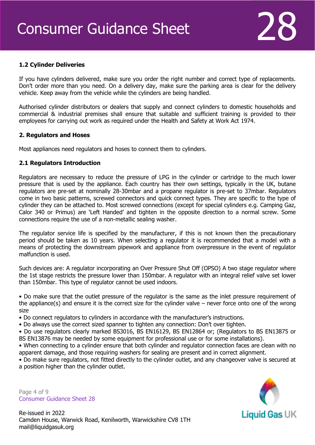#### **1.2 Cylinder Deliveries**

If you have cylinders delivered, make sure you order the right number and correct type of replacements. Don't order more than you need. On a delivery day, make sure the parking area is clear for the delivery vehicle. Keep away from the vehicle while the cylinders are being handled.

Authorised cylinder distributors or dealers that supply and connect cylinders to domestic households and commercial & industrial premises shall ensure that suitable and sufficient training is provided to their employees for carrying out work as required under the Health and Safety at Work Act 1974.

#### **2. Regulators and Hoses**

Most appliances need regulators and hoses to connect them to cylinders.

#### **2.1 Regulators Introduction**

Regulators are necessary to reduce the pressure of LPG in the cylinder or cartridge to the much lower pressure that is used by the appliance. Each country has their own settings, typically in the UK, butane regulators are pre-set at nominally 28-30mbar and a propane regulator is pre-set to 37mbar. Regulators come in two basic patterns, screwed connectors and quick connect types. They are specific to the type of cylinder they can be attached to. Most screwed connections (except for special cylinders e.g. Camping Gaz, Calor 340 or Primus) are 'Left Handed' and tighten in the opposite direction to a normal screw. Some connections require the use of a non-metallic sealing washer.

The regulator service life is specified by the manufacturer, if this is not known then the precautionary period should be taken as 10 years. When selecting a regulator it is recommended that a model with a means of protecting the downstream pipework and appliance from overpressure in the event of regulator malfunction is used.

Such devices are: A regulator incorporating an Over Pressure Shut Off (OPSO) A two stage regulator where the 1st stage restricts the pressure lower than 150mbar. A regulator with an integral relief valve set lower than 150mbar. This type of regulator cannot be used indoors.

• Do make sure that the outlet pressure of the regulator is the same as the inlet pressure requirement of the appliance(s) and ensure it is the correct size for the cylinder valve – never force onto one of the wrong size

• Do connect regulators to cylinders in accordance with the manufacturer's instructions.

• Do always use the correct sized spanner to tighten any connection: Don't over tighten.

• Do use regulators clearly marked BS3016, BS EN16129, BS EN12864 or; (Regulators to BS EN13875 or BS EN13876 may be needed by some equipment for professional use or for some installations).

• When connecting to a cylinder ensure that both cylinder and regulator connection faces are clean with no apparent damage, and those requiring washers for sealing are present and in correct alignment.

• Do make sure regulators, not fitted directly to the cylinder outlet, and any changeover valve is secured at a position higher than the cylinder outlet.

Page 4 of 9 Consumer Guidance Sheet 28

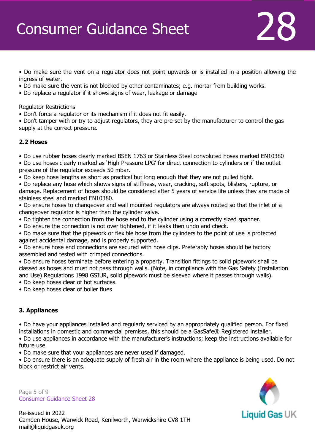• Do make sure the vent on a regulator does not point upwards or is installed in a position allowing the ingress of water.

- Do make sure the vent is not blocked by other contaminates; e.g. mortar from building works.
- Do replace a regulator if it shows signs of wear, leakage or damage

Regulator Restrictions

• Don't force a regulator or its mechanism if it does not fit easily.

• Don't tamper with or try to adjust regulators, they are pre-set by the manufacturer to control the gas supply at the correct pressure.

#### **2.2 Hoses**

• Do use rubber hoses clearly marked BSEN 1763 or Stainless Steel convoluted hoses marked EN10380

• Do use hoses clearly marked as 'High Pressure LPG' for direct connection to cylinders or if the outlet pressure of the regulator exceeds 50 mbar.

• Do keep hose lengths as short as practical but long enough that they are not pulled tight.

• Do replace any hose which shows signs of stiffness, wear, cracking, soft spots, blisters, rupture, or damage. Replacement of hoses should be considered after 5 years of service life unless they are made of stainless steel and marked EN10380.

• Do ensure hoses to changeover and wall mounted regulators are always routed so that the inlet of a changeover regulator is higher than the cylinder valve.

• Do tighten the connection from the hose end to the cylinder using a correctly sized spanner.

• Do ensure the connection is not over tightened, if it leaks then undo and check.

• Do make sure that the pipework or flexible hose from the cylinders to the point of use is protected against accidental damage, and is properly supported.

• Do ensure hose end connections are secured with hose clips. Preferably hoses should be factory assembled and tested with crimped connections.

• Do ensure hoses terminate before entering a property. Transition fittings to solid pipework shall be classed as hoses and must not pass through walls. (Note, in compliance with the Gas Safety (Installation and Use) Regulations 1998 GSIUR, solid pipework must be sleeved where it passes through walls).

• Do keep hoses clear of hot surfaces.

• Do keep hoses clear of boiler flues

#### **3. Appliances**

• Do have your appliances installed and regularly serviced by an appropriately qualified person. For fixed installations in domestic and commercial premises, this should be a GasSafe® Registered installer.

• Do use appliances in accordance with the manufacturer's instructions; keep the instructions available for future use.

• Do make sure that your appliances are never used if damaged.

• Do ensure there is an adequate supply of fresh air in the room where the appliance is being used. Do not block or restrict air vents.

Page 5 of 9 Consumer Guidance Sheet 28



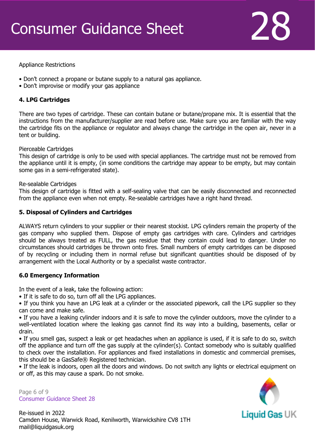

#### Appliance Restrictions

- Don't connect a propane or butane supply to a natural gas appliance.
- Don't improvise or modify your gas appliance

#### **4. LPG Cartridges**

There are two types of cartridge. These can contain butane or butane/propane mix. It is essential that the instructions from the manufacturer/supplier are read before use. Make sure you are familiar with the way the cartridge fits on the appliance or regulator and always change the cartridge in the open air, never in a tent or building.

#### Pierceable Cartridges

This design of cartridge is only to be used with special appliances. The cartridge must not be removed from the appliance until it is empty, (in some conditions the cartridge may appear to be empty, but may contain some gas in a semi-refrigerated state).

#### Re-sealable Cartridges

This design of cartridge is fitted with a self-sealing valve that can be easily disconnected and reconnected from the appliance even when not empty. Re-sealable cartridges have a right hand thread.

#### **5. Disposal of Cylinders and Cartridges**

ALWAYS return cylinders to your supplier or their nearest stockist. LPG cylinders remain the property of the gas company who supplied them. Dispose of empty gas cartridges with care. Cylinders and cartridges should be always treated as FULL, the gas residue that they contain could lead to danger. Under no circumstances should cartridges be thrown onto fires. Small numbers of empty cartridges can be disposed of by recycling or including them in normal refuse but significant quantities should be disposed of by arrangement with the Local Authority or by a specialist waste contractor.

#### **6.0 Emergency Information**

In the event of a leak, take the following action:

• If it is safe to do so, turn off all the LPG appliances.

• If you think you have an LPG leak at a cylinder or the associated pipework, call the LPG supplier so they can come and make safe.

• If you have a leaking cylinder indoors and it is safe to move the cylinder outdoors, move the cylinder to a well-ventilated location where the leaking gas cannot find its way into a building, basements, cellar or drain.

• If you smell gas, suspect a leak or get headaches when an appliance is used, if it is safe to do so, switch off the appliance and turn off the gas supply at the cylinder(s). Contact somebody who is suitably qualified to check over the installation. For appliances and fixed installations in domestic and commercial premises, this should be a GasSafe® Registered technician.

• If the leak is indoors, open all the doors and windows. Do not switch any lights or electrical equipment on or off, as this may cause a spark. Do not smoke.

Page 6 of 9 Consumer Guidance Sheet 28

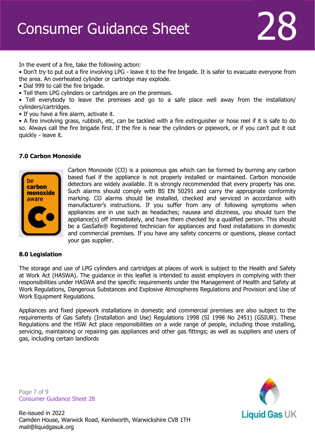In the event of a fire, take the following action:

• Don't try to put out a fire involving LPG - leave it to the fire brigade. It is safer to evacuate everyone from the area. An overheated cylinder or cartridge may explode.

- Dial 999 to call the fire brigade.
- Tell them LPG cylinders or cartridges are on the premises.

• Tell everybody to leave the premises and go to a safe place well away from the installation/ cylinders/cartridges.

• If you have a fire alarm, activate it.

• A fire involving grass, rubbish, etc, can be tackled with a fire extinguisher or hose reel if it is safe to do so. Always call the fire brigade first. If the fire is near the cylinders or pipework, or if you can't put it out quickly - leave it.

#### **7.0 Carbon Monoxide**



Carbon Monoxide (CO) is a poisonous gas which can be formed by burning any carbon based fuel if the appliance is not properly installed or maintained. Carbon monoxide detectors are widely available. It is strongly recommended that every property has one. Such alarms should comply with BS EN 50291 and carry the appropriate conformity marking. CO alarms should be installed, checked and serviced in accordance with manufacturer's instructions. If you suffer from any of following symptoms when appliances are in use such as headaches; nausea and dizziness, you should turn the appliance(s) off immediately, and have them checked by a qualified person. This should be a GasSafe® Registered technician for appliances and fixed installations in domestic and commercial premises. If you have any safety concerns or questions, please contact your gas supplier.

#### **8.0 Legislation**

The storage and use of LPG cylinders and cartridges at places of work is subject to the Health and Safety at Work Act (HASWA). The guidance in this leaflet is intended to assist employers in complying with their responsibilities under HASWA and the specific requirements under the Management of Health and Safety at Work Regulations, Dangerous Substances and Explosive Atmospheres Regulations and Provision and Use of Work Equipment Regulations.

Appliances and fixed pipework installations in domestic and commercial premises are also subject to the requirements of Gas Safety (Installation and Use) Regulations 1998 (SI 1998 No 2451) (GSIUR). These Regulations and the HSW Act place responsibilities on a wide range of people, including those installing, servicing, maintaining or repairing gas appliances and other gas fittings; as well as suppliers and users of gas, including certain landlords

Page 7 of 9 Consumer Guidance Sheet 28



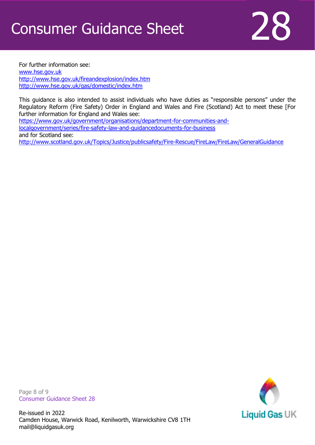

For further information see: [www.hse.gov.uk](http://www.hse.gov.uk/) <http://www.hse.gov.uk/fireandexplosion/index.htm> <http://www.hse.gov.uk/gas/domestic/index.htm>

This guidance is also intended to assist individuals who have duties as "responsible persons" under the Regulatory Reform (Fire Safety) Order in England and Wales and Fire (Scotland) Act to meet these [For further information for England and Wales see:

[https://www.gov.uk/government/organisations/department-for-communities-and](https://www.gov.uk/government/organisations/department-for-communities-and-localgovernment/series/fire-safety-law-and-guidancedocuments-for-business)[localgovernment/series/fire-safety-law-and-guidancedocuments-for-business](https://www.gov.uk/government/organisations/department-for-communities-and-localgovernment/series/fire-safety-law-and-guidancedocuments-for-business) and for Scotland see: <http://www.scotland.gov.uk/Topics/Justice/publicsafety/Fire-Rescue/FireLaw/FireLaw/GeneralGuidance>

Page 8 of 9 Consumer Guidance Sheet 28